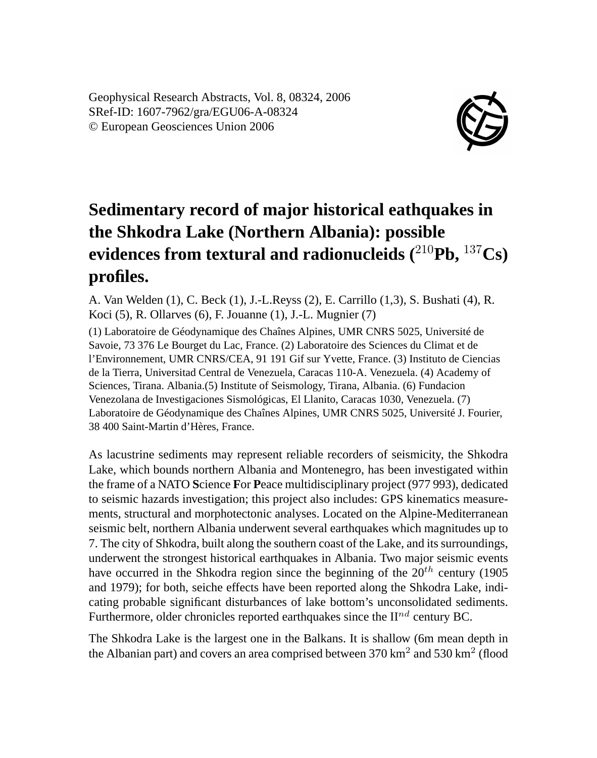Geophysical Research Abstracts, Vol. 8, 08324, 2006 SRef-ID: 1607-7962/gra/EGU06-A-08324 © European Geosciences Union 2006



## **Sedimentary record of major historical eathquakes in the Shkodra Lake (Northern Albania): possible evidences from textural and radionucleids (**<sup>210</sup>**Pb,** <sup>137</sup>**Cs) profiles.**

A. Van Welden (1), C. Beck (1), J.-L.Reyss (2), E. Carrillo (1,3), S. Bushati (4), R. Koci (5), R. Ollarves (6), F. Jouanne (1), J.-L. Mugnier (7)

(1) Laboratoire de Géodynamique des Chaînes Alpines, UMR CNRS 5025, Université de Savoie, 73 376 Le Bourget du Lac, France. (2) Laboratoire des Sciences du Climat et de l'Environnement, UMR CNRS/CEA, 91 191 Gif sur Yvette, France. (3) Instituto de Ciencias de la Tierra, Universitad Central de Venezuela, Caracas 110-A. Venezuela. (4) Academy of Sciences, Tirana. Albania.(5) Institute of Seismology, Tirana, Albania. (6) Fundacion Venezolana de Investigaciones Sismológicas, El Llanito, Caracas 1030, Venezuela. (7) Laboratoire de Géodynamique des Chaînes Alpines, UMR CNRS 5025, Université J. Fourier, 38 400 Saint-Martin d'Hères, France.

As lacustrine sediments may represent reliable recorders of seismicity, the Shkodra Lake, which bounds northern Albania and Montenegro, has been investigated within the frame of a NATO **S**cience **F**or **P**eace multidisciplinary project (977 993), dedicated to seismic hazards investigation; this project also includes: GPS kinematics measurements, structural and morphotectonic analyses. Located on the Alpine-Mediterranean seismic belt, northern Albania underwent several earthquakes which magnitudes up to 7. The city of Shkodra, built along the southern coast of the Lake, and its surroundings, underwent the strongest historical earthquakes in Albania. Two major seismic events have occurred in the Shkodra region since the beginning of the  $20^{th}$  century (1905) and 1979); for both, seiche effects have been reported along the Shkodra Lake, indicating probable significant disturbances of lake bottom's unconsolidated sediments. Furthermore, older chronicles reported earthquakes since the  $\Pi^{nd}$  century BC.

The Shkodra Lake is the largest one in the Balkans. It is shallow (6m mean depth in the Albanian part) and covers an area comprised between  $370 \text{ km}^2$  and  $530 \text{ km}^2$  (flood